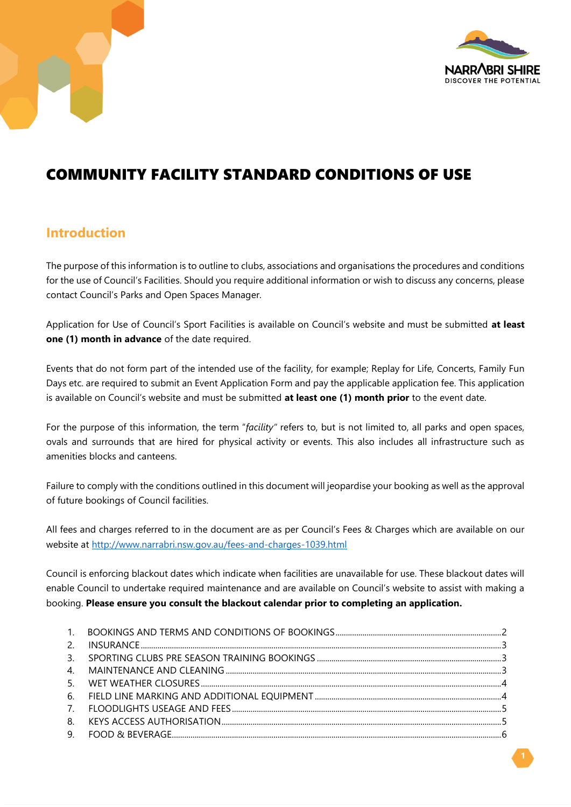



# COMMUNITY FACILITY STANDARD CONDITIONS OF USE

# **Introduction**

The purpose of this information is to outline to clubs, associations and organisations the procedures and conditions for the use of Council's Facilities. Should you require additional information or wish to discuss any concerns, please contact Council's Parks and Open Spaces Manager.

Application for Use of Council's Sport Facilities is available on Council's website and must be submitted **at least one (1) month in advance** of the date required.

Events that do not form part of the intended use of the facility, for example; Replay for Life, Concerts, Family Fun Days etc. are required to submit an Event Application Form and pay the applicable application fee. This application is available on Council's website and must be submitted **at least one (1) month prior** to the event date.

For the purpose of this information, the term "*facility"* refers to, but is not limited to, all parks and open spaces, ovals and surrounds that are hired for physical activity or events. This also includes all infrastructure such as amenities blocks and canteens.

Failure to comply with the conditions outlined in this document will jeopardise your booking as well as the approval of future bookings of Council facilities.

All fees and charges referred to in the document are as per Council's Fees & Charges which are available on our website at<http://www.narrabri.nsw.gov.au/fees-and-charges-1039.html>

Council is enforcing blackout dates which indicate when facilities are unavailable for use. These blackout dates will enable Council to undertake required maintenance and are available on Council's website to assist with making a booking. **Please ensure you consult the blackout calendar prior to completing an application.**

| $2^{1}$        |  |
|----------------|--|
| 3 <sub>1</sub> |  |
| $\mathbf{4}$   |  |
| -5.            |  |
| 6.             |  |
| $7^{\circ}$    |  |
| 8.             |  |
| 9.             |  |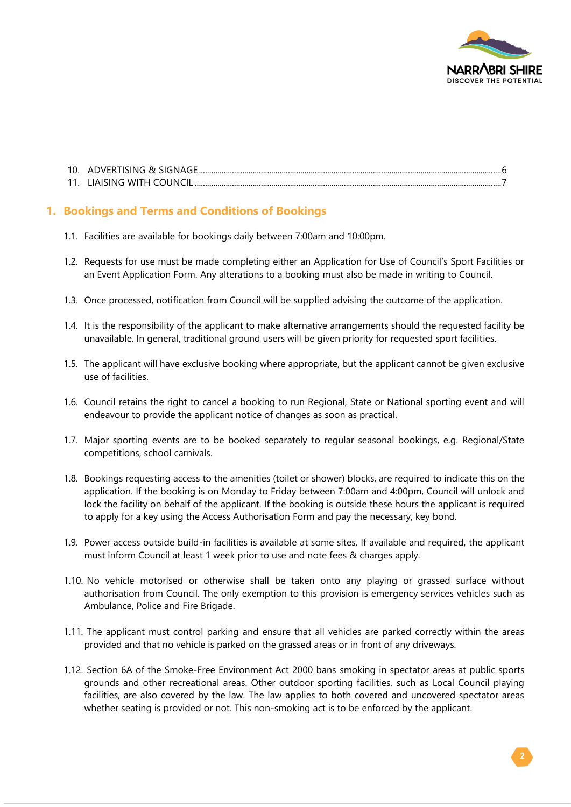

### **1. Bookings and Terms and Conditions of Bookings**

- 1.1. Facilities are available for bookings daily between 7:00am and 10:00pm.
- 1.2. Requests for use must be made completing either an Application for Use of Council's Sport Facilities or an Event Application Form. Any alterations to a booking must also be made in writing to Council.
- 1.3. Once processed, notification from Council will be supplied advising the outcome of the application.
- 1.4. It is the responsibility of the applicant to make alternative arrangements should the requested facility be unavailable. In general, traditional ground users will be given priority for requested sport facilities.
- 1.5. The applicant will have exclusive booking where appropriate, but the applicant cannot be given exclusive use of facilities.
- 1.6. Council retains the right to cancel a booking to run Regional, State or National sporting event and will endeavour to provide the applicant notice of changes as soon as practical.
- 1.7. Major sporting events are to be booked separately to regular seasonal bookings, e.g. Regional/State competitions, school carnivals.
- 1.8. Bookings requesting access to the amenities (toilet or shower) blocks, are required to indicate this on the application. If the booking is on Monday to Friday between 7:00am and 4:00pm, Council will unlock and lock the facility on behalf of the applicant. If the booking is outside these hours the applicant is required to apply for a key using the Access Authorisation Form and pay the necessary, key bond.
- 1.9. Power access outside build-in facilities is available at some sites. If available and required, the applicant must inform Council at least 1 week prior to use and note fees & charges apply.
- 1.10. No vehicle motorised or otherwise shall be taken onto any playing or grassed surface without authorisation from Council. The only exemption to this provision is emergency services vehicles such as Ambulance, Police and Fire Brigade.
- 1.11. The applicant must control parking and ensure that all vehicles are parked correctly within the areas provided and that no vehicle is parked on the grassed areas or in front of any driveways.
- 1.12. Section 6A of the Smoke-Free Environment Act 2000 bans smoking in spectator areas at public sports grounds and other recreational areas. Other outdoor sporting facilities, such as Local Council playing facilities, are also covered by the law. The law applies to both covered and uncovered spectator areas whether seating is provided or not. This non-smoking act is to be enforced by the applicant.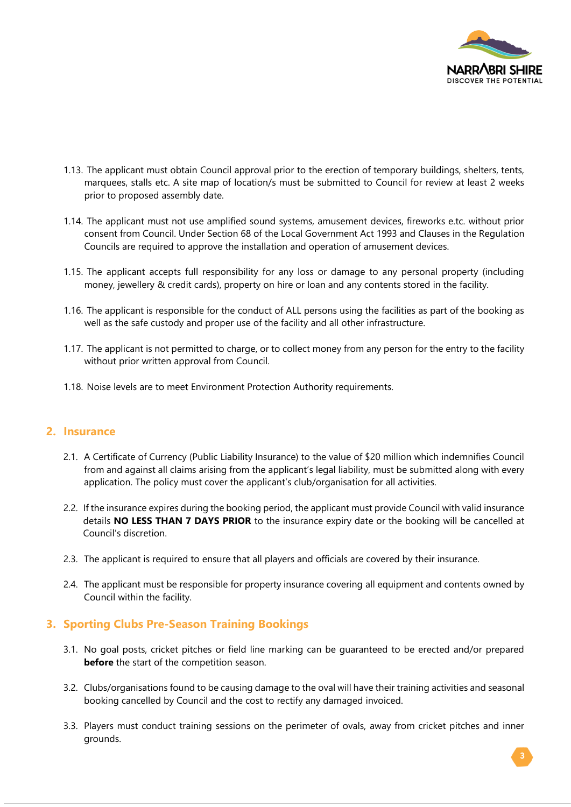

- 1.13. The applicant must obtain Council approval prior to the erection of temporary buildings, shelters, tents, marquees, stalls etc. A site map of location/s must be submitted to Council for review at least 2 weeks prior to proposed assembly date.
- 1.14. The applicant must not use amplified sound systems, amusement devices, fireworks e.tc. without prior consent from Council. Under Section 68 of the Local Government Act 1993 and Clauses in the Regulation Councils are required to approve the installation and operation of amusement devices.
- 1.15. The applicant accepts full responsibility for any loss or damage to any personal property (including money, jewellery & credit cards), property on hire or loan and any contents stored in the facility.
- 1.16. The applicant is responsible for the conduct of ALL persons using the facilities as part of the booking as well as the safe custody and proper use of the facility and all other infrastructure.
- 1.17. The applicant is not permitted to charge, or to collect money from any person for the entry to the facility without prior written approval from Council.
- 1.18. Noise levels are to meet Environment Protection Authority requirements.

#### **2. Insurance**

- 2.1. A Certificate of Currency (Public Liability Insurance) to the value of \$20 million which indemnifies Council from and against all claims arising from the applicant's legal liability, must be submitted along with every application. The policy must cover the applicant's club/organisation for all activities.
- 2.2. If the insurance expires during the booking period, the applicant must provide Council with valid insurance details **NO LESS THAN 7 DAYS PRIOR** to the insurance expiry date or the booking will be cancelled at Council's discretion.
- 2.3. The applicant is required to ensure that all players and officials are covered by their insurance.
- 2.4. The applicant must be responsible for property insurance covering all equipment and contents owned by Council within the facility.

#### **3. Sporting Clubs Pre-Season Training Bookings**

- 3.1. No goal posts, cricket pitches or field line marking can be guaranteed to be erected and/or prepared **before** the start of the competition season.
- 3.2. Clubs/organisations found to be causing damage to the oval will have their training activities and seasonal booking cancelled by Council and the cost to rectify any damaged invoiced.
- 3.3. Players must conduct training sessions on the perimeter of ovals, away from cricket pitches and inner grounds.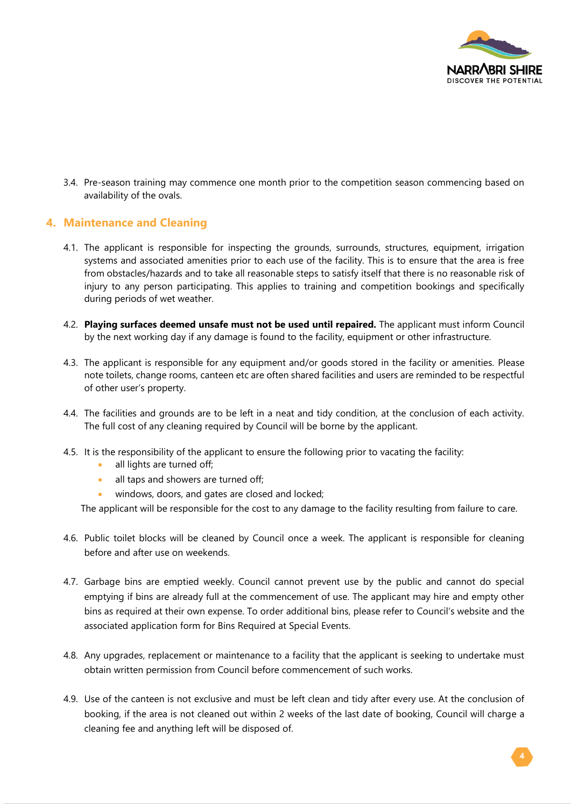

3.4. Pre-season training may commence one month prior to the competition season commencing based on availability of the ovals.

#### **4. Maintenance and Cleaning**

- 4.1. The applicant is responsible for inspecting the grounds, surrounds, structures, equipment, irrigation systems and associated amenities prior to each use of the facility. This is to ensure that the area is free from obstacles/hazards and to take all reasonable steps to satisfy itself that there is no reasonable risk of injury to any person participating. This applies to training and competition bookings and specifically during periods of wet weather.
- 4.2. **Playing surfaces deemed unsafe must not be used until repaired.** The applicant must inform Council by the next working day if any damage is found to the facility, equipment or other infrastructure.
- 4.3. The applicant is responsible for any equipment and/or goods stored in the facility or amenities. Please note toilets, change rooms, canteen etc are often shared facilities and users are reminded to be respectful of other user's property.
- 4.4. The facilities and grounds are to be left in a neat and tidy condition, at the conclusion of each activity. The full cost of any cleaning required by Council will be borne by the applicant.
- 4.5. It is the responsibility of the applicant to ensure the following prior to vacating the facility:
	- all lights are turned off;
	- all taps and showers are turned off;
	- windows, doors, and gates are closed and locked;

The applicant will be responsible for the cost to any damage to the facility resulting from failure to care.

- 4.6. Public toilet blocks will be cleaned by Council once a week. The applicant is responsible for cleaning before and after use on weekends.
- 4.7. Garbage bins are emptied weekly. Council cannot prevent use by the public and cannot do special emptying if bins are already full at the commencement of use. The applicant may hire and empty other bins as required at their own expense. To order additional bins, please refer to Council's website and the associated application form for Bins Required at Special Events.
- 4.8. Any upgrades, replacement or maintenance to a facility that the applicant is seeking to undertake must obtain written permission from Council before commencement of such works.
- 4.9. Use of the canteen is not exclusive and must be left clean and tidy after every use. At the conclusion of booking, if the area is not cleaned out within 2 weeks of the last date of booking, Council will charge a cleaning fee and anything left will be disposed of.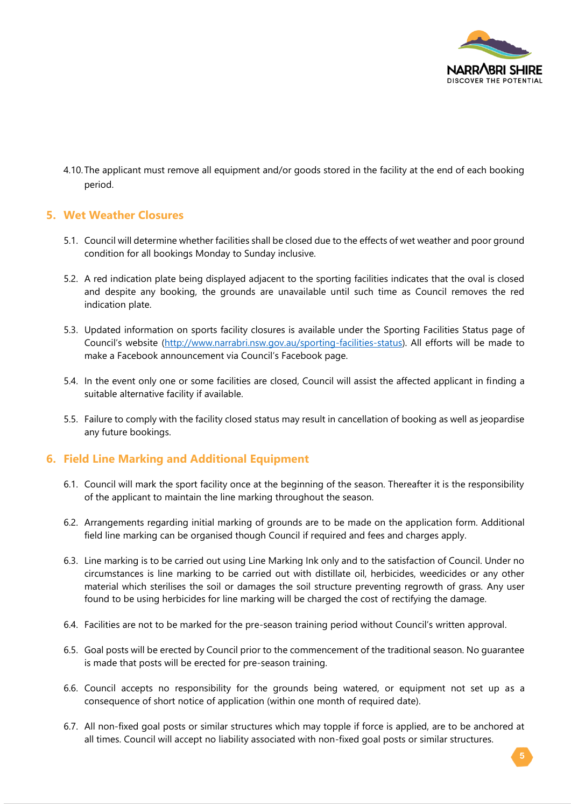

4.10.The applicant must remove all equipment and/or goods stored in the facility at the end of each booking period.

#### **5. Wet Weather Closures**

- 5.1. Council will determine whether facilities shall be closed due to the effects of wet weather and poor ground condition for all bookings Monday to Sunday inclusive.
- 5.2. A red indication plate being displayed adjacent to the sporting facilities indicates that the oval is closed and despite any booking, the grounds are unavailable until such time as Council removes the red indication plate.
- 5.3. Updated information on sports facility closures is available under the Sporting Facilities Status page of Council's website ([http://www.narrabri.nsw.gov.au/sporting-facilities-status\)](http://www.narrabri.nsw.gov.au/sporting-fields-status). All efforts will be made to make a Facebook announcement via Council's Facebook page.
- 5.4. In the event only one or some facilities are closed, Council will assist the affected applicant in finding a suitable alternative facility if available.
- 5.5. Failure to comply with the facility closed status may result in cancellation of booking as well as jeopardise any future bookings.

#### **6. Field Line Marking and Additional Equipment**

- 6.1. Council will mark the sport facility once at the beginning of the season. Thereafter it is the responsibility of the applicant to maintain the line marking throughout the season.
- 6.2. Arrangements regarding initial marking of grounds are to be made on the application form. Additional field line marking can be organised though Council if required and fees and charges apply.
- 6.3. Line marking is to be carried out using Line Marking Ink only and to the satisfaction of Council. Under no circumstances is line marking to be carried out with distillate oil, herbicides, weedicides or any other material which sterilises the soil or damages the soil structure preventing regrowth of grass. Any user found to be using herbicides for line marking will be charged the cost of rectifying the damage.
- 6.4. Facilities are not to be marked for the pre-season training period without Council's written approval.
- 6.5. Goal posts will be erected by Council prior to the commencement of the traditional season. No guarantee is made that posts will be erected for pre-season training.
- 6.6. Council accepts no responsibility for the grounds being watered, or equipment not set up as a consequence of short notice of application (within one month of required date).
- 6.7. All non-fixed goal posts or similar structures which may topple if force is applied, are to be anchored at all times. Council will accept no liability associated with non-fixed goal posts or similar structures.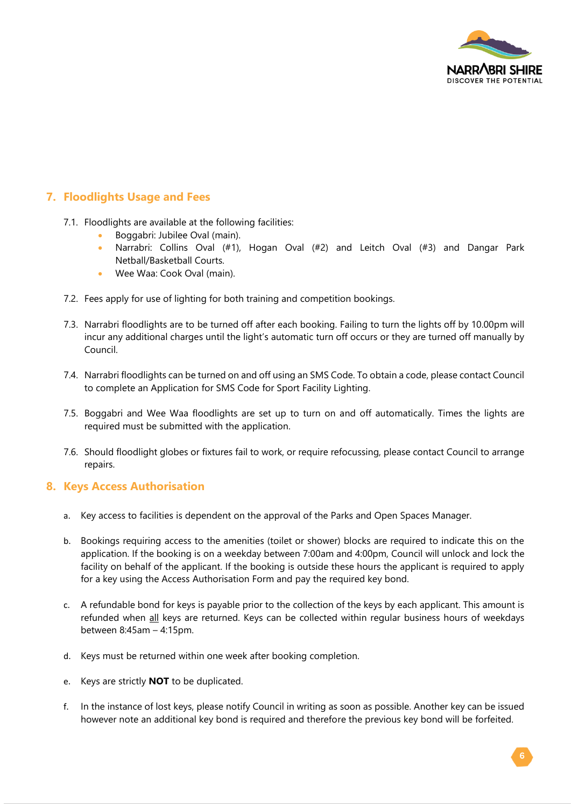

# **7. Floodlights Usage and Fees**

- 7.1. Floodlights are available at the following facilities:
	- Boggabri: Jubilee Oval (main).
	- Narrabri: Collins Oval (#1), Hogan Oval (#2) and Leitch Oval (#3) and Dangar Park Netball/Basketball Courts.
	- Wee Waa: Cook Oval (main).
- 7.2. Fees apply for use of lighting for both training and competition bookings.
- 7.3. Narrabri floodlights are to be turned off after each booking. Failing to turn the lights off by 10.00pm will incur any additional charges until the light's automatic turn off occurs or they are turned off manually by Council.
- 7.4. Narrabri floodlights can be turned on and off using an SMS Code. To obtain a code, please contact Council to complete an [Application for SMS Code for Sport Facility Lighting.](https://infoxpert.edrms/docs/Employee%20Information/Forms/Planning%20and%20Development/Application%20for%20SMS%20Code%20for%20Sporting%20Field%20Lights.pdf)
- 7.5. Boggabri and Wee Waa floodlights are set up to turn on and off automatically. Times the lights are required must be submitted with the application.
- 7.6. Should floodlight globes or fixtures fail to work, or require refocussing, please contact Council to arrange repairs.

#### **8. Keys Access Authorisation**

- a. Key access to facilities is dependent on the approval of the Parks and Open Spaces Manager.
- b. Bookings requiring access to the amenities (toilet or shower) blocks are required to indicate this on the application. If the booking is on a weekday between 7:00am and 4:00pm, Council will unlock and lock the facility on behalf of the applicant. If the booking is outside these hours the applicant is required to apply for a key using the Access Authorisation Form and pay the required key bond.
- c. A refundable bond for keys is payable prior to the collection of the keys by each applicant. This amount is refunded when all keys are returned. Keys can be collected within regular business hours of weekdays between 8:45am – 4:15pm.
- d. Keys must be returned within one week after booking completion.
- e. Keys are strictly **NOT** to be duplicated.
- f. In the instance of lost keys, please notify Council in writing as soon as possible. Another key can be issued however note an additional key bond is required and therefore the previous key bond will be forfeited.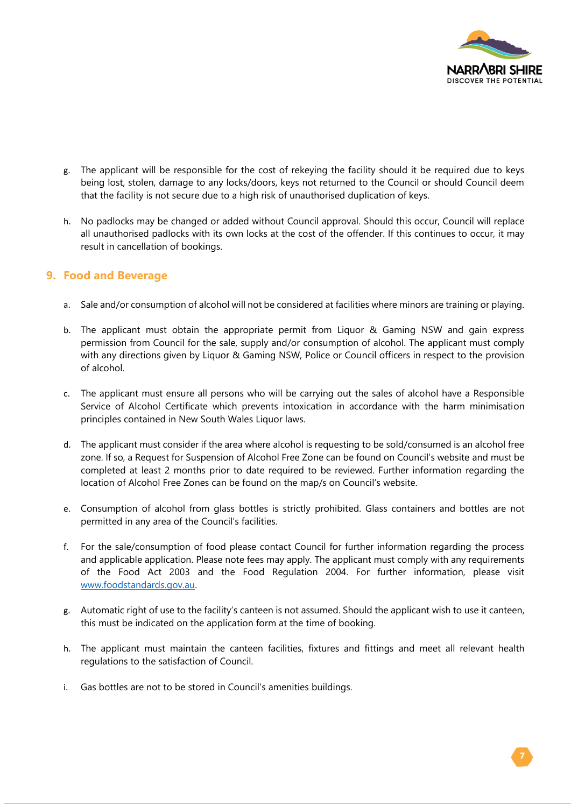

- g. The applicant will be responsible for the cost of rekeying the facility should it be required due to keys being lost, stolen, damage to any locks/doors, keys not returned to the Council or should Council deem that the facility is not secure due to a high risk of unauthorised duplication of keys.
- h. No padlocks may be changed or added without Council approval. Should this occur, Council will replace all unauthorised padlocks with its own locks at the cost of the offender. If this continues to occur, it may result in cancellation of bookings.

#### **9. Food and Beverage**

- a. Sale and/or consumption of alcohol will not be considered at facilities where minors are training or playing.
- b. The applicant must obtain the appropriate permit from Liquor & Gaming NSW and gain express permission from Council for the sale, supply and/or consumption of alcohol. The applicant must comply with any directions given by Liquor & Gaming NSW, Police or Council officers in respect to the provision of alcohol.
- c. The applicant must ensure all persons who will be carrying out the sales of alcohol have a Responsible Service of Alcohol Certificate which prevents intoxication in accordance with the harm minimisation principles contained in New South Wales Liquor laws.
- d. The applicant must consider if the area where alcohol is requesting to be sold/consumed is an alcohol free zone. If so, a Request for Suspension of Alcohol Free Zone can be found on Council's website and must be completed at least 2 months prior to date required to be reviewed. Further information regarding the location of Alcohol Free Zones can be found on the map/s on Council's website.
- e. Consumption of alcohol from glass bottles is strictly prohibited. Glass containers and bottles are not permitted in any area of the Council's facilities.
- f. For the sale/consumption of food please contact Council for further information regarding the process and applicable application. Please note fees may apply. The applicant must comply with any requirements of the Food Act 2003 and the Food Regulation 2004. For further information, please visit [www.foodstandards.gov.au.](http://www.foodstandards.gov.au/)
- g. Automatic right of use to the facility's canteen is not assumed. Should the applicant wish to use it canteen, this must be indicated on the application form at the time of booking.
- h. The applicant must maintain the canteen facilities, fixtures and fittings and meet all relevant health regulations to the satisfaction of Council.
- i. Gas bottles are not to be stored in Council's amenities buildings.